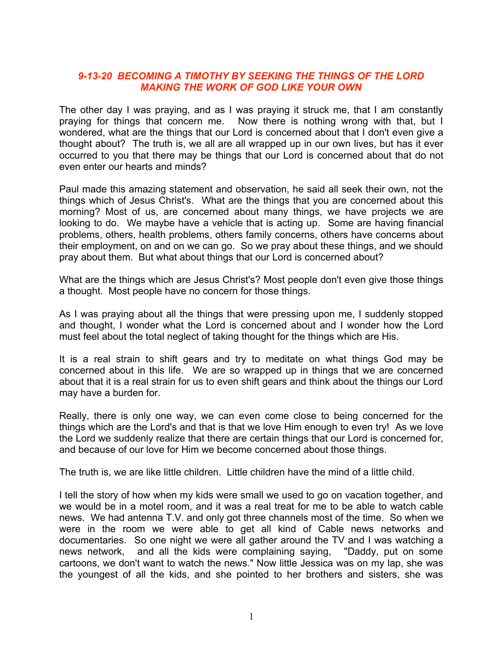### *9-13-20 BECOMING A TIMOTHY BY SEEKING THE THINGS OF THE LORD MAKING THE WORK OF GOD LIKE YOUR OWN*

The other day I was praying, and as I was praying it struck me, that I am constantly praying for things that concern me. Now there is nothing wrong with that, but I wondered, what are the things that our Lord is concerned about that I don't even give a thought about? The truth is, we all are all wrapped up in our own lives, but has it ever occurred to you that there may be things that our Lord is concerned about that do not even enter our hearts and minds?

Paul made this amazing statement and observation, he said all seek their own, not the things which of Jesus Christ's. What are the things that you are concerned about this morning? Most of us, are concerned about many things, we have projects we are looking to do. We maybe have a vehicle that is acting up. Some are having financial problems, others, health problems, others family concerns, others have concerns about their employment, on and on we can go. So we pray about these things, and we should pray about them. But what about things that our Lord is concerned about?

What are the things which are Jesus Christ's? Most people don't even give those things a thought. Most people have no concern for those things.

As I was praying about all the things that were pressing upon me, I suddenly stopped and thought, I wonder what the Lord is concerned about and I wonder how the Lord must feel about the total neglect of taking thought for the things which are His.

It is a real strain to shift gears and try to meditate on what things God may be concerned about in this life. We are so wrapped up in things that we are concerned about that it is a real strain for us to even shift gears and think about the things our Lord may have a burden for.

Really, there is only one way, we can even come close to being concerned for the things which are the Lord's and that is that we love Him enough to even try! As we love the Lord we suddenly realize that there are certain things that our Lord is concerned for, and because of our love for Him we become concerned about those things.

The truth is, we are like little children. Little children have the mind of a little child.

I tell the story of how when my kids were small we used to go on vacation together, and we would be in a motel room, and it was a real treat for me to be able to watch cable news. We had antenna T.V. and only got three channels most of the time. So when we were in the room we were able to get all kind of Cable news networks and documentaries. So one night we were all gather around the TV and I was watching a news network, and all the kids were complaining saying, "Daddy, put on some cartoons, we don't want to watch the news." Now little Jessica was on my lap, she was the youngest of all the kids, and she pointed to her brothers and sisters, she was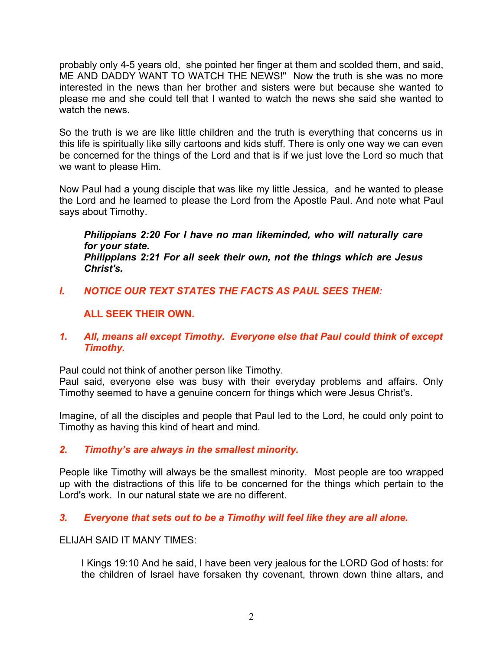probably only 4-5 years old, she pointed her finger at them and scolded them, and said, ME AND DADDY WANT TO WATCH THE NEWS!" Now the truth is she was no more interested in the news than her brother and sisters were but because she wanted to please me and she could tell that I wanted to watch the news she said she wanted to watch the news.

So the truth is we are like little children and the truth is everything that concerns us in this life is spiritually like silly cartoons and kids stuff. There is only one way we can even be concerned for the things of the Lord and that is if we just love the Lord so much that we want to please Him.

Now Paul had a young disciple that was like my little Jessica, and he wanted to please the Lord and he learned to please the Lord from the Apostle Paul. And note what Paul says about Timothy.

*Philippians 2:20 For I have no man likeminded, who will naturally care for your state. Philippians 2:21 For all seek their own, not the things which are Jesus Christ's.* 

*I. NOTICE OUR TEXT STATES THE FACTS AS PAUL SEES THEM:*

# **ALL SEEK THEIR OWN.**

*1. All, means all except Timothy. Everyone else that Paul could think of except Timothy.* 

Paul could not think of another person like Timothy.

Paul said, everyone else was busy with their everyday problems and affairs. Only Timothy seemed to have a genuine concern for things which were Jesus Christ's.

Imagine, of all the disciples and people that Paul led to the Lord, he could only point to Timothy as having this kind of heart and mind.

## *2. Timothy's are always in the smallest minority.*

People like Timothy will always be the smallest minority. Most people are too wrapped up with the distractions of this life to be concerned for the things which pertain to the Lord's work. In our natural state we are no different.

## *3. Everyone that sets out to be a Timothy will feel like they are all alone.*

ELIJAH SAID IT MANY TIMES:

I Kings 19:10 And he said, I have been very jealous for the LORD God of hosts: for the children of Israel have forsaken thy covenant, thrown down thine altars, and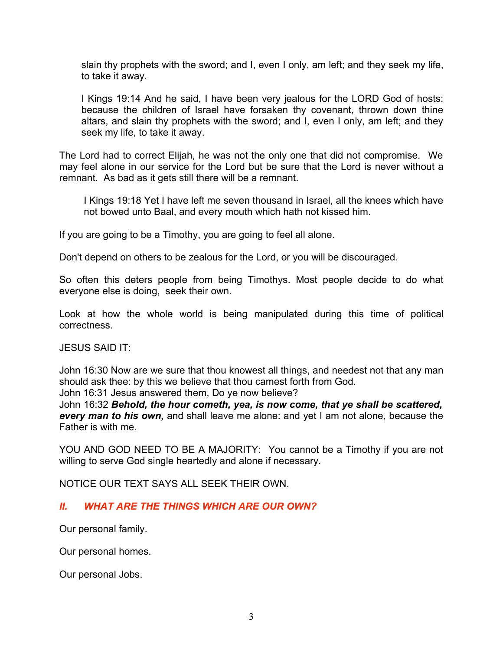slain thy prophets with the sword; and I, even I only, am left; and they seek my life, to take it away.

I Kings 19:14 And he said, I have been very jealous for the LORD God of hosts: because the children of Israel have forsaken thy covenant, thrown down thine altars, and slain thy prophets with the sword; and I, even I only, am left; and they seek my life, to take it away.

The Lord had to correct Elijah, he was not the only one that did not compromise. We may feel alone in our service for the Lord but be sure that the Lord is never without a remnant. As bad as it gets still there will be a remnant.

I Kings 19:18 Yet I have left me seven thousand in Israel, all the knees which have not bowed unto Baal, and every mouth which hath not kissed him.

If you are going to be a Timothy, you are going to feel all alone.

Don't depend on others to be zealous for the Lord, or you will be discouraged.

So often this deters people from being Timothys. Most people decide to do what everyone else is doing, seek their own.

Look at how the whole world is being manipulated during this time of political correctness.

JESUS SAID IT:

John 16:30 Now are we sure that thou knowest all things, and needest not that any man should ask thee: by this we believe that thou camest forth from God.

John 16:31 Jesus answered them, Do ye now believe?

John 16:32 *Behold, the hour cometh, yea, is now come, that ye shall be scattered, every man to his own,* and shall leave me alone: and yet I am not alone, because the Father is with me.

YOU AND GOD NEED TO BE A MAJORITY: You cannot be a Timothy if you are not willing to serve God single heartedly and alone if necessary.

NOTICE OUR TEXT SAYS ALL SEEK THEIR OWN.

## *II. WHAT ARE THE THINGS WHICH ARE OUR OWN?*

Our personal family.

Our personal homes.

Our personal Jobs.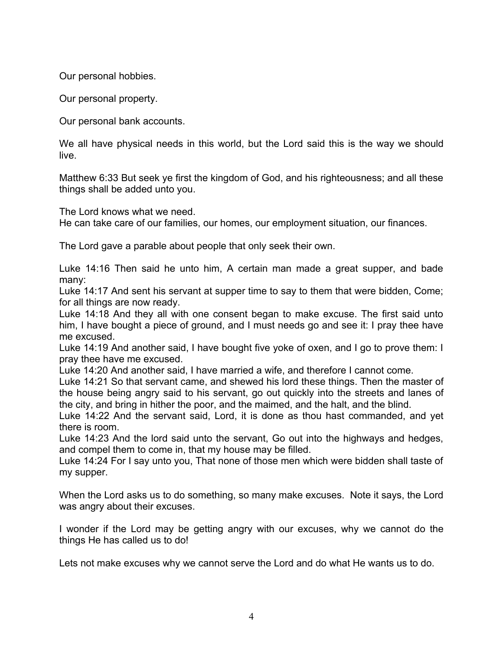Our personal hobbies.

Our personal property.

Our personal bank accounts.

We all have physical needs in this world, but the Lord said this is the way we should live.

Matthew 6:33 But seek ye first the kingdom of God, and his righteousness; and all these things shall be added unto you.

The Lord knows what we need.

He can take care of our families, our homes, our employment situation, our finances.

The Lord gave a parable about people that only seek their own.

Luke 14:16 Then said he unto him, A certain man made a great supper, and bade many:

Luke 14:17 And sent his servant at supper time to say to them that were bidden, Come; for all things are now ready.

Luke 14:18 And they all with one consent began to make excuse. The first said unto him, I have bought a piece of ground, and I must needs go and see it: I pray thee have me excused.

Luke 14:19 And another said, I have bought five yoke of oxen, and I go to prove them: I pray thee have me excused.

Luke 14:20 And another said, I have married a wife, and therefore I cannot come.

Luke 14:21 So that servant came, and shewed his lord these things. Then the master of the house being angry said to his servant, go out quickly into the streets and lanes of the city, and bring in hither the poor, and the maimed, and the halt, and the blind.

Luke 14:22 And the servant said, Lord, it is done as thou hast commanded, and yet there is room.

Luke 14:23 And the lord said unto the servant, Go out into the highways and hedges, and compel them to come in, that my house may be filled.

Luke 14:24 For I say unto you, That none of those men which were bidden shall taste of my supper.

When the Lord asks us to do something, so many make excuses. Note it says, the Lord was angry about their excuses.

I wonder if the Lord may be getting angry with our excuses, why we cannot do the things He has called us to do!

Lets not make excuses why we cannot serve the Lord and do what He wants us to do.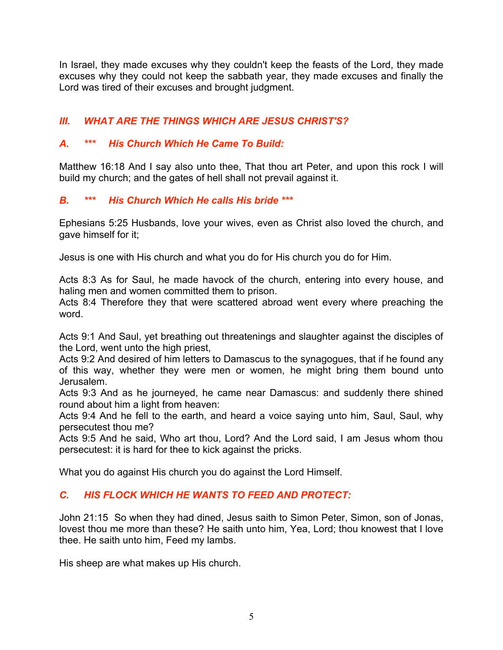In Israel, they made excuses why they couldn't keep the feasts of the Lord, they made excuses why they could not keep the sabbath year, they made excuses and finally the Lord was tired of their excuses and brought judgment.

# *III. WHAT ARE THE THINGS WHICH ARE JESUS CHRIST'S?*

# *A. \*\*\* His Church Which He Came To Build:*

Matthew 16:18 And I say also unto thee, That thou art Peter, and upon this rock I will build my church; and the gates of hell shall not prevail against it.

# *B. \*\*\* His Church Which He calls His bride \*\*\**

Ephesians 5:25 Husbands, love your wives, even as Christ also loved the church, and gave himself for it;

Jesus is one with His church and what you do for His church you do for Him.

Acts 8:3 As for Saul, he made havock of the church, entering into every house, and haling men and women committed them to prison.

Acts 8:4 Therefore they that were scattered abroad went every where preaching the word.

Acts 9:1 And Saul, yet breathing out threatenings and slaughter against the disciples of the Lord, went unto the high priest,

Acts 9:2 And desired of him letters to Damascus to the synagogues, that if he found any of this way, whether they were men or women, he might bring them bound unto Jerusalem.

Acts 9:3 And as he journeyed, he came near Damascus: and suddenly there shined round about him a light from heaven:

Acts 9:4 And he fell to the earth, and heard a voice saying unto him, Saul, Saul, why persecutest thou me?

Acts 9:5 And he said, Who art thou, Lord? And the Lord said, I am Jesus whom thou persecutest: it is hard for thee to kick against the pricks.

What you do against His church you do against the Lord Himself.

# *C. HIS FLOCK WHICH HE WANTS TO FEED AND PROTECT:*

John 21:15 So when they had dined, Jesus saith to Simon Peter, Simon, son of Jonas, lovest thou me more than these? He saith unto him, Yea, Lord; thou knowest that I love thee. He saith unto him, Feed my lambs.

His sheep are what makes up His church.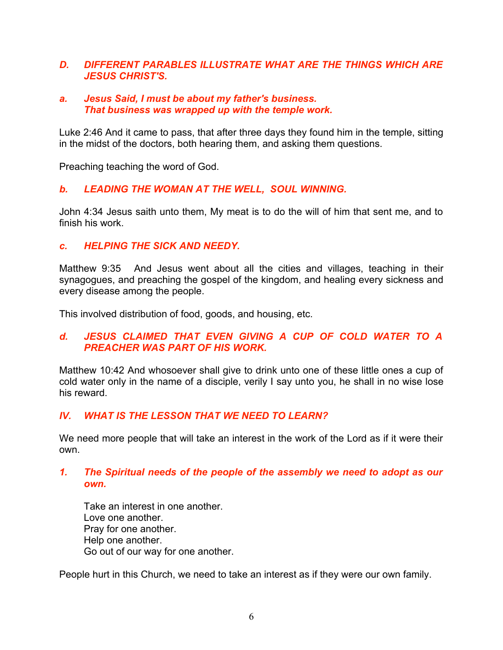### *D. DIFFERENT PARABLES ILLUSTRATE WHAT ARE THE THINGS WHICH ARE JESUS CHRIST'S.*

#### *a. Jesus Said, I must be about my father's business. That business was wrapped up with the temple work.*

Luke 2:46 And it came to pass, that after three days they found him in the temple, sitting in the midst of the doctors, both hearing them, and asking them questions.

Preaching teaching the word of God.

### *b. LEADING THE WOMAN AT THE WELL, SOUL WINNING.*

John 4:34 Jesus saith unto them, My meat is to do the will of him that sent me, and to finish his work.

#### *c. HELPING THE SICK AND NEEDY.*

Matthew 9:35 And Jesus went about all the cities and villages, teaching in their synagogues, and preaching the gospel of the kingdom, and healing every sickness and every disease among the people.

This involved distribution of food, goods, and housing, etc.

### *d. JESUS CLAIMED THAT EVEN GIVING A CUP OF COLD WATER TO A PREACHER WAS PART OF HIS WORK.*

Matthew 10:42 And whosoever shall give to drink unto one of these little ones a cup of cold water only in the name of a disciple, verily I say unto you, he shall in no wise lose his reward.

### *IV. WHAT IS THE LESSON THAT WE NEED TO LEARN?*

We need more people that will take an interest in the work of the Lord as if it were their own.

### *1. The Spiritual needs of the people of the assembly we need to adopt as our own.*

Take an interest in one another. Love one another. Pray for one another. Help one another. Go out of our way for one another.

People hurt in this Church, we need to take an interest as if they were our own family.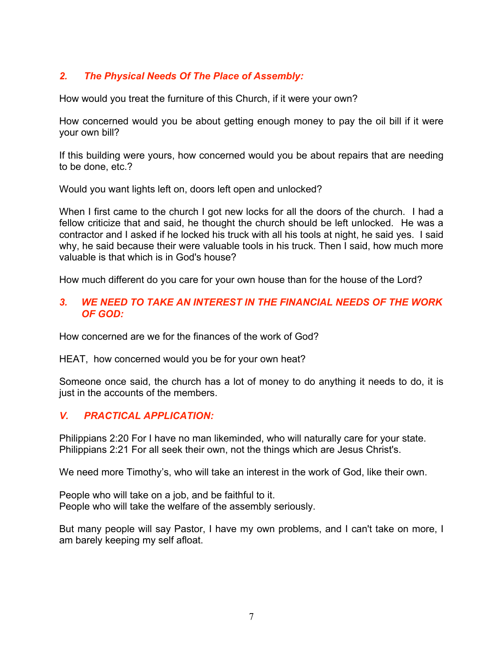# *2. The Physical Needs Of The Place of Assembly:*

How would you treat the furniture of this Church, if it were your own?

How concerned would you be about getting enough money to pay the oil bill if it were your own bill?

If this building were yours, how concerned would you be about repairs that are needing to be done, etc.?

Would you want lights left on, doors left open and unlocked?

When I first came to the church I got new locks for all the doors of the church. I had a fellow criticize that and said, he thought the church should be left unlocked. He was a contractor and I asked if he locked his truck with all his tools at night, he said yes. I said why, he said because their were valuable tools in his truck. Then I said, how much more valuable is that which is in God's house?

How much different do you care for your own house than for the house of the Lord?

### *3. WE NEED TO TAKE AN INTEREST IN THE FINANCIAL NEEDS OF THE WORK OF GOD:*

How concerned are we for the finances of the work of God?

HEAT, how concerned would you be for your own heat?

Someone once said, the church has a lot of money to do anything it needs to do, it is just in the accounts of the members.

### *V. PRACTICAL APPLICATION:*

Philippians 2:20 For I have no man likeminded, who will naturally care for your state. Philippians 2:21 For all seek their own, not the things which are Jesus Christ's.

We need more Timothy's, who will take an interest in the work of God, like their own.

People who will take on a job, and be faithful to it. People who will take the welfare of the assembly seriously.

But many people will say Pastor, I have my own problems, and I can't take on more, I am barely keeping my self afloat.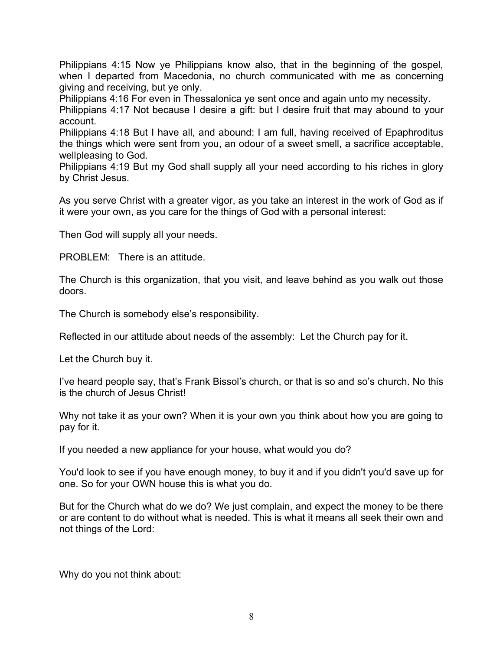Philippians 4:15 Now ye Philippians know also, that in the beginning of the gospel, when I departed from Macedonia, no church communicated with me as concerning giving and receiving, but ye only.

Philippians 4:16 For even in Thessalonica ye sent once and again unto my necessity.

Philippians 4:17 Not because I desire a gift: but I desire fruit that may abound to your account.

Philippians 4:18 But I have all, and abound: I am full, having received of Epaphroditus the things which were sent from you, an odour of a sweet smell, a sacrifice acceptable, wellpleasing to God.

Philippians 4:19 But my God shall supply all your need according to his riches in glory by Christ Jesus.

As you serve Christ with a greater vigor, as you take an interest in the work of God as if it were your own, as you care for the things of God with a personal interest:

Then God will supply all your needs.

PROBLEM: There is an attitude.

The Church is this organization, that you visit, and leave behind as you walk out those doors.

The Church is somebody else's responsibility.

Reflected in our attitude about needs of the assembly: Let the Church pay for it.

Let the Church buy it.

I've heard people say, that's Frank Bissol's church, or that is so and so's church. No this is the church of Jesus Christ!

Why not take it as your own? When it is your own you think about how you are going to pay for it.

If you needed a new appliance for your house, what would you do?

You'd look to see if you have enough money, to buy it and if you didn't you'd save up for one. So for your OWN house this is what you do.

But for the Church what do we do? We just complain, and expect the money to be there or are content to do without what is needed. This is what it means all seek their own and not things of the Lord:

Why do you not think about: